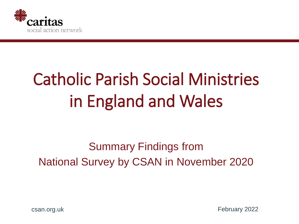

# Catholic Parish Social Ministries in England and Wales

# Summary Findings from National Survey by CSAN in November 2020

csan.org.uk

February 2022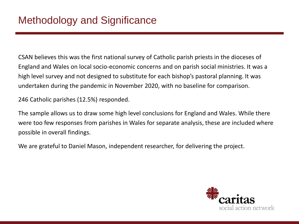CSAN believes this was the first national survey of Catholic parish priests in the dioceses of England and Wales on local socio-economic concerns and on parish social ministries. It was a high level survey and not designed to substitute for each bishop's pastoral planning. It was undertaken during the pandemic in November 2020, with no baseline for comparison.

246 Catholic parishes (12.5%) responded.

The sample allows us to draw some high level conclusions for England and Wales. While there were too few responses from parishes in Wales for separate analysis, these are included where possible in overall findings.

We are grateful to Daniel Mason, independent researcher, for delivering the project.

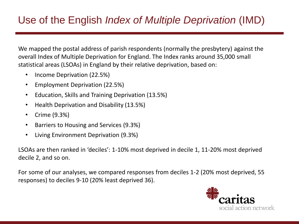# Use of the English *Index of Multiple Deprivation* (IMD)

We mapped the postal address of parish respondents (normally the presbytery) against the overall Index of Multiple Deprivation for England. The Index ranks around 35,000 small statistical areas (LSOAs) in England by their relative deprivation, based on:

- Income Deprivation (22.5%)
- Employment Deprivation (22.5%)
- Education, Skills and Training Deprivation (13.5%)
- Health Deprivation and Disability (13.5%)
- Crime (9.3%)
- Barriers to Housing and Services (9.3%)
- Living Environment Deprivation (9.3%)

LSOAs are then ranked in 'deciles': 1-10% most deprived in decile 1, 11-20% most deprived decile 2, and so on.

For some of our analyses, we compared responses from deciles 1-2 (20% most deprived, 55 responses) to deciles 9-10 (20% least deprived 36).

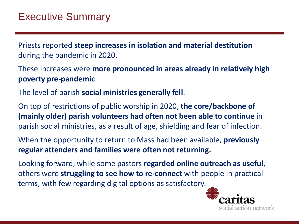Priests reported **steep increases in isolation and material destitution**  during the pandemic in 2020.

These increases were **more pronounced in areas already in relatively high poverty pre-pandemic**.

The level of parish **social ministries generally fell**.

On top of restrictions of public worship in 2020, **the core/backbone of (mainly older) parish volunteers had often not been able to continue** in parish social ministries, as a result of age, shielding and fear of infection.

When the opportunity to return to Mass had been available, **previously regular attenders and families were often not returning.**

Looking forward, while some pastors **regarded online outreach as useful**, others were **struggling to see how to re-connect** with people in practical terms, with few regarding digital options as satisfactory.

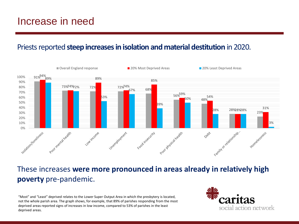#### Priests reported **steep increases in isolation and material destitution** in 2020.



#### These increases **were more pronounced in areas already in relatively high poverty** pre-pandemic.

"Most" and "Least" deprived relates to the Lower Super Output Area in which the presbytery is located, not the whole parish area. The graph shows, for example, that 89% of parishes responding from the most deprived areas reported signs of increases in low income, compared to 53% of parishes in the least deprived areas.

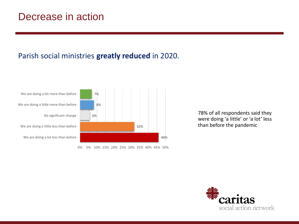### Decrease in action

#### Parish social ministries **greatly reduced** in 2020.



0% 5% 10% 15% 20% 25% 30% 35% 40% 45% 50%

78% of all respondents said they were doing 'a little' or 'a lot' less than before the pandemic

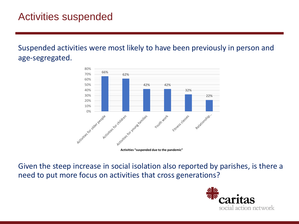Suspended activities were most likely to have been previously in person and age-segregated.



**Activities "suspended due to the pandemic"**

Given the steep increase in social isolation also reported by parishes, is there a need to put more focus on activities that cross generations?

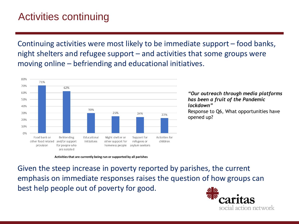# Activities continuing

Continuing activities were most likely to be immediate support – food banks, night shelters and refugee support – and activities that some groups were moving online – befriending and educational initiatives.



*"Our outreach through media platforms has been a fruit of the Pandemic lockdown"*  Response to Q6, What opportunities have opened up?

**Activities that are currently being run or supported by all parishes**

Given the steep increase in poverty reported by parishes, the current emphasis on immediate responses raises the question of how groups can best help people out of poverty for good.

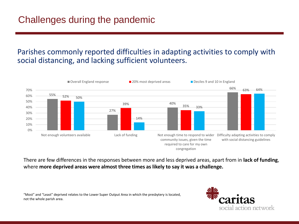# Challenges during the pandemic

#### Parishes commonly reported difficulties in adapting activities to comply with social distancing, and lacking sufficient volunteers.



There are few differences in the responses between more and less deprived areas, apart from in **lack of funding**, where **more deprived areas were almost three times as likely to say it was a challenge.**

"Most" and "Least" deprived relates to the Lower Super Output Area in which the presbytery is located, not the whole parish area.

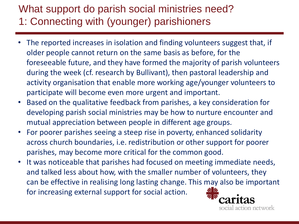# What support do parish social ministries need? 1: Connecting with (younger) parishioners

- The reported increases in isolation and finding volunteers suggest that, if older people cannot return on the same basis as before, for the foreseeable future, and they have formed the majority of parish volunteers during the week (cf. research by Bullivant), then pastoral leadership and activity organisation that enable more working age/younger volunteers to participate will become even more urgent and important.
- Based on the qualitative feedback from parishes, a key consideration for developing parish social ministries may be how to nurture encounter and mutual appreciation between people in different age groups.
- For poorer parishes seeing a steep rise in poverty, enhanced solidarity across church boundaries, i.e. redistribution or other support for poorer parishes, may become more critical for the common good.
- It was noticeable that parishes had focused on meeting immediate needs, and talked less about how, with the smaller number of volunteers, they can be effective in realising long lasting change. This may also be important for increasing external support for social action.

ial action network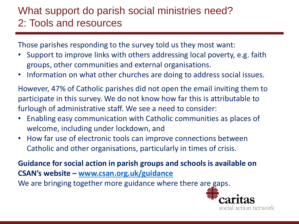# What support do parish social ministries need? 2: Tools and resources

Those parishes responding to the survey told us they most want:

- Support to improve links with others addressing local poverty, e.g. faith groups, other communities and external organisations.
- Information on what other churches are doing to address social issues.

However, 47% of Catholic parishes did not open the email inviting them to participate in this survey. We do not know how far this is attributable to furlough of administrative staff. We see a need to consider:

- Enabling easy communication with Catholic communities as places of welcome, including under lockdown, and
- How far use of electronic tools can improve connections between Catholic and other organisations, particularly in times of crisis.

**Guidance for social action in parish groups and schools is available on CSAN's website – [www.csan.org.uk/guidance](http://www.csan.org.uk/guidance)** We are bringing together more guidance where there are gaps.